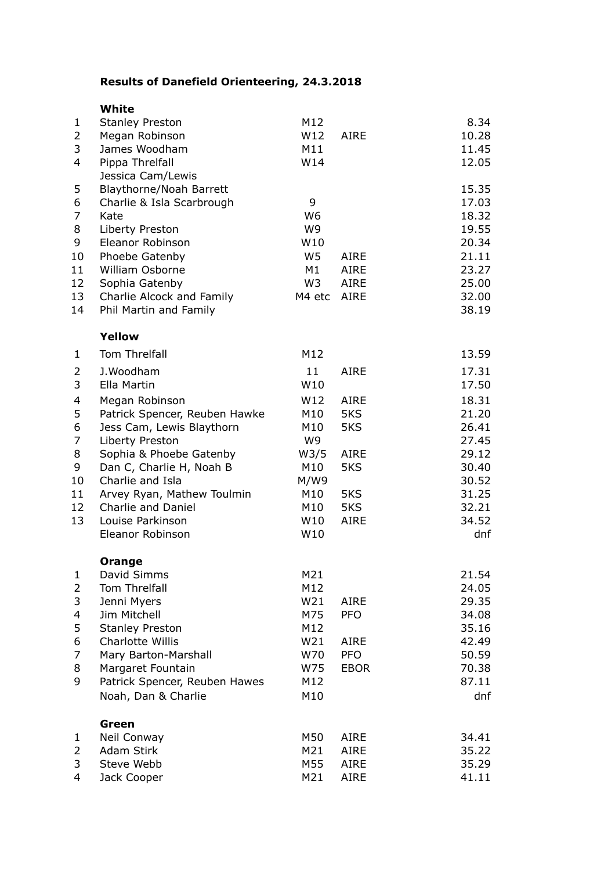## **Results of Danefield Orienteering, 24.3.2018**

|                | White                                |                      |             |                |
|----------------|--------------------------------------|----------------------|-------------|----------------|
| $\mathbf{1}$   | <b>Stanley Preston</b>               | M12                  |             | 8.34           |
| $\overline{2}$ | Megan Robinson                       | W12                  | <b>AIRE</b> | 10.28          |
| 3              | James Woodham                        | M11                  |             | 11.45          |
| 4              | Pippa Threlfall                      | W14                  |             | 12.05          |
|                | Jessica Cam/Lewis                    |                      |             |                |
| 5              | Blaythorne/Noah Barrett              |                      |             | 15.35          |
| 6              | Charlie & Isla Scarbrough            | 9                    |             | 17.03          |
| 7<br>8         | Kate<br>Liberty Preston              | W <sub>6</sub><br>W9 |             | 18.32          |
| 9              | Eleanor Robinson                     | W10                  |             | 19.55<br>20.34 |
| 10             | Phoebe Gatenby                       | W <sub>5</sub>       | <b>AIRE</b> | 21.11          |
| 11             | William Osborne                      | M1                   | <b>AIRE</b> | 23.27          |
| 12             | Sophia Gatenby                       | W <sub>3</sub>       | <b>AIRE</b> | 25.00          |
| 13             | Charlie Alcock and Family            | M4 etc               | <b>AIRE</b> | 32.00          |
| 14             | Phil Martin and Family               |                      |             | 38.19          |
|                | Yellow                               |                      |             |                |
| $\mathbf{1}$   | Tom Threlfall                        | M12                  |             | 13.59          |
| 2              | J.Woodham                            | 11                   | <b>AIRE</b> | 17.31          |
| 3              | Ella Martin                          | W10                  |             | 17.50          |
| 4              | Megan Robinson                       | W12                  | <b>AIRE</b> | 18.31          |
| 5              | Patrick Spencer, Reuben Hawke        | M10                  | 5KS         | 21.20          |
| 6              | Jess Cam, Lewis Blaythorn            | M10                  | 5KS         | 26.41          |
| 7              | Liberty Preston                      | W9                   |             | 27.45          |
| 8              | Sophia & Phoebe Gatenby              | W3/5                 | <b>AIRE</b> | 29.12          |
| 9              | Dan C, Charlie H, Noah B             | M10                  | 5KS         | 30.40          |
| 10             | Charlie and Isla                     | M/W9                 |             | 30.52          |
| 11             | Arvey Ryan, Mathew Toulmin           | M10                  | 5KS         | 31.25          |
| 12             | Charlie and Daniel                   | M10                  | 5KS         | 32.21          |
| 13             | Louise Parkinson<br>Eleanor Robinson | W10<br>W10           | <b>AIRE</b> | 34.52<br>dnf   |
|                |                                      |                      |             |                |
|                | Orange                               |                      |             |                |
| 1<br>2         | David Simms<br>Tom Threlfall         | M21<br>M12           |             | 21.54<br>24.05 |
| 3              | Jenni Myers                          | W21                  | <b>AIRE</b> | 29.35          |
| 4              | Jim Mitchell                         | M75                  | <b>PFO</b>  | 34.08          |
| 5              | <b>Stanley Preston</b>               | M12                  |             | 35.16          |
| 6              | Charlotte Willis                     | W21                  | <b>AIRE</b> | 42.49          |
| 7              | Mary Barton-Marshall                 | W70                  | <b>PFO</b>  | 50.59          |
| 8              | Margaret Fountain                    | W75                  | <b>EBOR</b> | 70.38          |
| 9              | Patrick Spencer, Reuben Hawes        | M12                  |             | 87.11          |
|                | Noah, Dan & Charlie                  | M10                  |             | dnf            |
|                | Green                                |                      |             |                |
| 1              | Neil Conway                          | M50                  | <b>AIRE</b> | 34.41          |
| 2              | Adam Stirk                           | M21                  | <b>AIRE</b> | 35.22          |
| 3              | Steve Webb                           | M55                  | <b>AIRE</b> | 35.29          |
| 4              | Jack Cooper                          | M21                  | AIRE        | 41.11          |